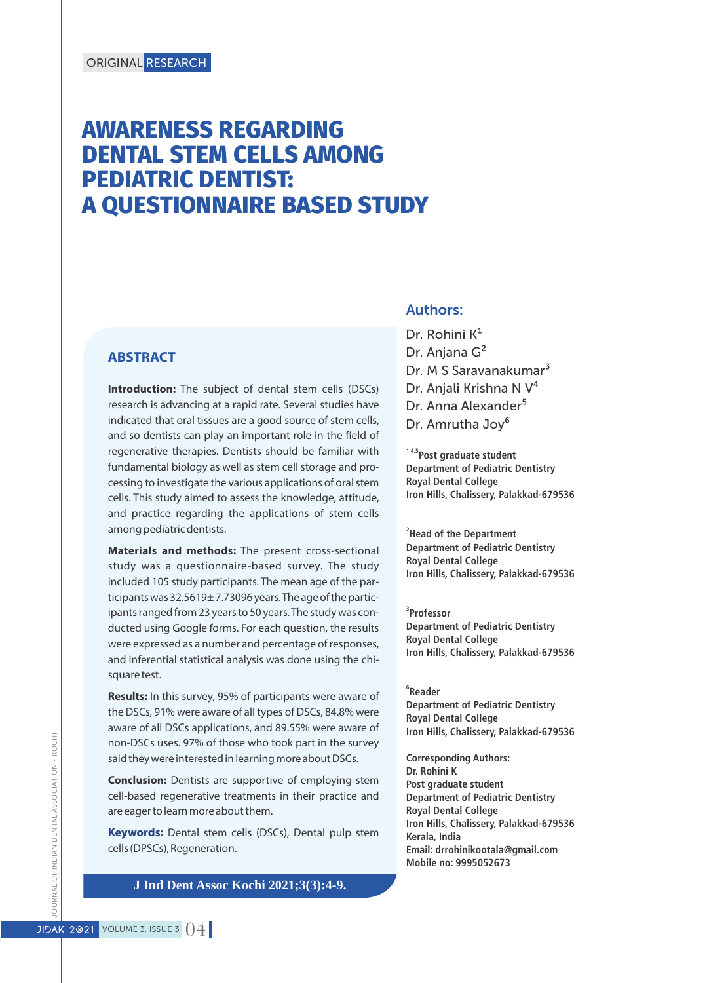# **AWARENESS REGARDING DENTAL STEM CELLS AMONG PEDIATRIC DENTIST: A QUESTIONNAIRE BASED STUDY**

#### **ABSTRACT**

**Introduction:** The subject of dental stem cells (DSCs) research is advancing at a rapid rate. Several studies have indicated that oral tissues are a good source of stem cells, and so dentists can play an important role in the field of regenerative therapies. Dentists should be familiar with fundamental biology as well as stem cell storage and processing to investigate the various applications of oral stem cells. This study aimed to assess the knowledge, attitude, and practice regarding the applications of stem cells among pediatric dentists.

**Materials and methods:** The present cross-sectional study was a questionnaire-based survey. The study included 105 study participants. The mean age of the participants was 32.5619± 7.73096 years. The age of the participants ranged from 23 years to 50 years. The study was conducted using Google forms. For each question, the results were expressed as a number and percentage of responses, and inferential statistical analysis was done using the chisquare test.

**Results:** In this survey, 95% of participants were aware of the DSCs, 91% were aware of all types of DSCs, 84.8% were aware of all DSCs applications, and 89.55% were aware of non-DSCs uses. 97% of those who took part in the survey said they were interested in learning more about DSCs.

**Conclusion:** Dentists are supportive of employing stem cell-based regenerative treatments in their practice and are eager to learn more about them.

**Keywords:** Dental stem cells (DSCs), Dental pulp stem cells (DPSCs), Regeneration.

#### **J Ind Dent Assoc Kochi 2021;3(3):4-9.**

#### Authors:

Dr. Rohini  $K^1$ Dr. Anjana G<sup>2</sup> Dr. M S Saravanakumar<sup>3</sup> Dr. Anjali Krishna N V<sup>4</sup> Dr. Anna Alexander<sup>5</sup> Dr. Amrutha Joy<sup>6</sup>

**1,4,5Post graduate student Department of Pediatric Dentistry Royal Dental College Iron Hills, Chalissery, Palakkad-679536**

**2 Head of the Department Department of Pediatric Dentistry Royal Dental College Iron Hills, Chalissery, Palakkad-679536**

**3 Professor Department of Pediatric Dentistry Royal Dental College Iron Hills, Chalissery, Palakkad-679536**

**6 Reader Department of Pediatric Dentistry Royal Dental College Iron Hills, Chalissery, Palakkad-679536**

**Corresponding Authors: Dr. Rohini K Post graduate student Department of Pediatric Dentistry Royal Dental College Iron Hills, Chalissery, Palakkad-679536 Kerala, India Email: drrohinikootala@gmail.com Mobile no: 9995052673**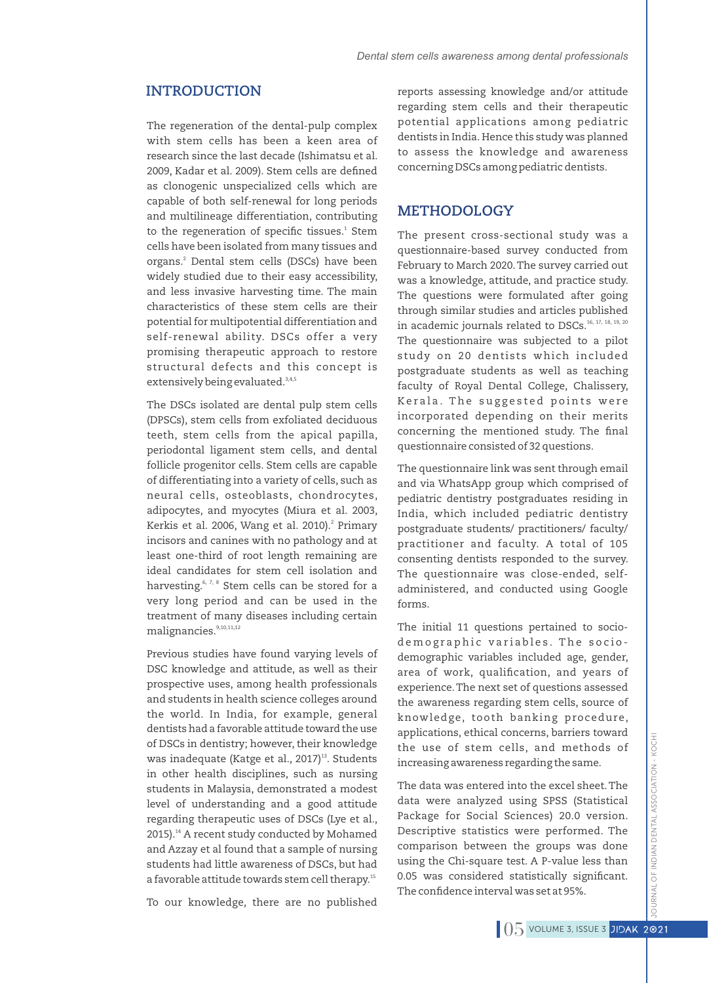The regeneration of the dental-pulp complex with stem cells has been a keen area of research since the last decade (Ishimatsu et al. 2009, Kadar et al. 2009). Stem cells are defined as clonogenic unspecialized cells which are capable of both self-renewal for long periods and multilineage differentiation, contributing to the regeneration of specific tissues.<sup>1</sup> Stem cells have been isolated from many tissues and organs.<sup>2</sup> Dental stem cells (DSCs) have been widely studied due to their easy accessibility, and less invasive harvesting time. The main characteristics of these stem cells are their potential for multipotential differentiation and self-renewal ability. DSCs offer a very promising therapeutic approach to restore structural defects and this concept is extensively being evaluated.<sup>3,4,5</sup>

The DSCs isolated are dental pulp stem cells (DPSCs), stem cells from exfoliated deciduous teeth, stem cells from the apical papilla, periodontal ligament stem cells, and dental follicle progenitor cells. Stem cells are capable of differentiating into a variety of cells, such as neural cells, osteoblasts, chondrocytes, adipocytes, and myocytes (Miura et al. 2003, Kerkis et al. 2006, Wang et al. 2010).<sup>2</sup> Primary incisors and canines with no pathology and at least one-third of root length remaining are ideal candidates for stem cell isolation and harvesting.<sup> $6, 7, 8$ </sup> Stem cells can be stored for a very long period and can be used in the treatment of many diseases including certain malignancies.<sup>9,10,11,12</sup>

Previous studies have found varying levels of DSC knowledge and attitude, as well as their prospective uses, among health professionals and students in health science colleges around the world. In India, for example, general dentists had a favorable attitude toward the use of DSCs in dentistry; however, their knowledge was inadequate (Katge et al., 2017)<sup>13</sup>. Students in other health disciplines, such as nursing students in Malaysia, demonstrated a modest level of understanding and a good attitude regarding therapeutic uses of DSCs (Lye et al.,  $2015$ ).<sup>14</sup> A recent study conducted by Mohamed and Azzay et al found that a sample of nursing students had little awareness of DSCs, but had a favorable attitude towards stem cell therapy.<sup>15</sup>

To our knowledge, there are no published

**INTRODUCTION** reports assessing knowledge and/or attitude regarding stem cells and their therapeutic potential applications among pediatric dentists in India. Hence this study was planned to assess the knowledge and awareness concerning DSCs among pediatric dentists.

### **METHODOLOGY**

The present cross-sectional study was a questionnaire-based survey conducted from February to March 2020.The survey carried out was a knowledge, attitude, and practice study. The questions were formulated after going through similar studies and articles published in academic journals related to DSCs.<sup>16, 17, 18, 19, 20</sup> The questionnaire was subjected to a pilot study on 20 dentists which included postgraduate students as well as teaching faculty of Royal Dental College, Chalissery, Kerala. The suggested points were incorporated depending on their merits concerning the mentioned study. The final questionnaire consisted of 32 questions.

The questionnaire link was sent through email and via WhatsApp group which comprised of pediatric dentistry postgraduates residing in India, which included pediatric dentistry postgraduate students/ practitioners/ faculty/ practitioner and faculty. A total of 105 consenting dentists responded to the survey. The questionnaire was close-ended, selfadministered, and conducted using Google forms.

The initial 11 questions pertained to sociode m o graphic variables. The sociodemographic variables included age, gender, area of work, qualification, and years of experience.The next set of questions assessed the awareness regarding stem cells, source of knowledge, tooth banking procedure, applications, ethical concerns, barriers toward the use of stem cells, and methods of increasing awareness regarding the same.

The data was entered into the excel sheet.The data were analyzed using SPSS (Statistical Package for Social Sciences) 20.0 version. Descriptive statistics were performed. The comparison between the groups was done using the Chi-square test. A P-value less than 0.05 was considered statistically significant. The confidence interval was set at 95%.

**JRNAL OF INDIAN DENTAL ASSOCIATION - KOCH** JOURNAL OF INDIAN DENTAL ASSOCIATION - KOCHI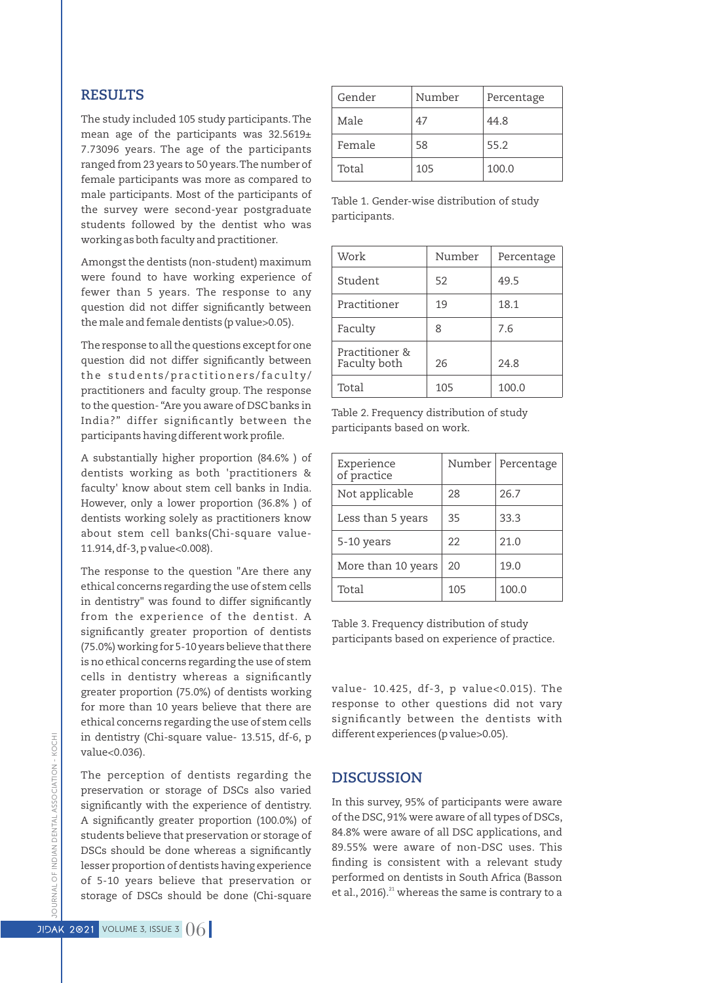### **RESULTS**

The study included 105 study participants.The mean age of the participants was 32.5619± 7.73096 years. The age of the participants ranged from 23 years to 50 years.The number of female participants was more as compared to male participants. Most of the participants of the survey were second-year postgraduate students followed by the dentist who was working as both faculty and practitioner.

Amongst the dentists (non-student) maximum were found to have working experience of fewer than 5 years. The response to any question did not differ significantly between the male and female dentists (p value>0.05).

The response to all the questions except for one question did not differ significantly between the students/practitioners/faculty/ practitioners and faculty group. The response to the question- "Are you aware of DSC banks in India?" differ significantly between the participants having different work profile.

A substantially higher proportion (84.6% ) of dentists working as both 'practitioners & faculty' know about stem cell banks in India. However, only a lower proportion (36.8% ) of dentists working solely as practitioners know about stem cell banks(Chi-square value-11.914,df-3,p value<0.008).

The response to the question "Are there any ethical concerns regarding the use of stem cells in dentistry" was found to differ significantly from the experience of the dentist. A significantly greater proportion of dentists (75.0%) working for 5-10 years believe that there is no ethical concerns regarding the use of stem cells in dentistry whereas a significantly greater proportion (75.0%) of dentists working for more than 10 years believe that there are ethical concerns regarding the use of stem cells in dentistry (Chi-square value- 13.515, df-6, p value<0.036).

The perception of dentists regarding the preservation or storage of DSCs also varied significantly with the experience of dentistry. A significantly greater proportion (100.0%) of students believe that preservation or storage of DSCs should be done whereas a significantly lesser proportion of dentists having experience of 5-10 years believe that preservation or storage of DSCs should be done (Chi-square

| Gender | Number | Percentage |
|--------|--------|------------|
| Male   | 47     | 44.8       |
| Female | 58     | 55.2       |
| Total  | 105    | 100.0      |

Table 1. Gender-wise distribution of study participants.

| Work                           | Number | Percentage |
|--------------------------------|--------|------------|
| Student                        | 52     | 49.5       |
| Practitioner                   | 19     | 18.1       |
| Faculty                        | 8      | 7.6        |
| Practitioner &<br>Faculty both | 26     | 24.8       |
| Total                          | 105    | 100.0      |

Table 2. Frequency distribution of study participants based on work.

| Experience<br>of practice | Number | Percentage |
|---------------------------|--------|------------|
| Not applicable            | 28     | 26.7       |
| Less than 5 years         | 35     | 33.3       |
| 5-10 years                | 22     | 21.0       |
| More than 10 years        | 20     | 19.0       |
| Total                     | 105    | 100.0      |

Table 3. Frequency distribution of study participants based on experience of practice.

value- 10.425, df-3, p value<0.015). The response to other questions did not vary significantly between the dentists with different experiences (p value>0.05).

#### **DISCUSSION**

In this survey, 95% of participants were aware of the DSC, 91% were aware of all types of DSCs, 84.8% were aware of all DSC applications, and 89.55% were aware of non-DSC uses. This finding is consistent with a relevant study performed on dentists in South Africa (Basson et al., 2016). $^{21}$  whereas the same is contrary to a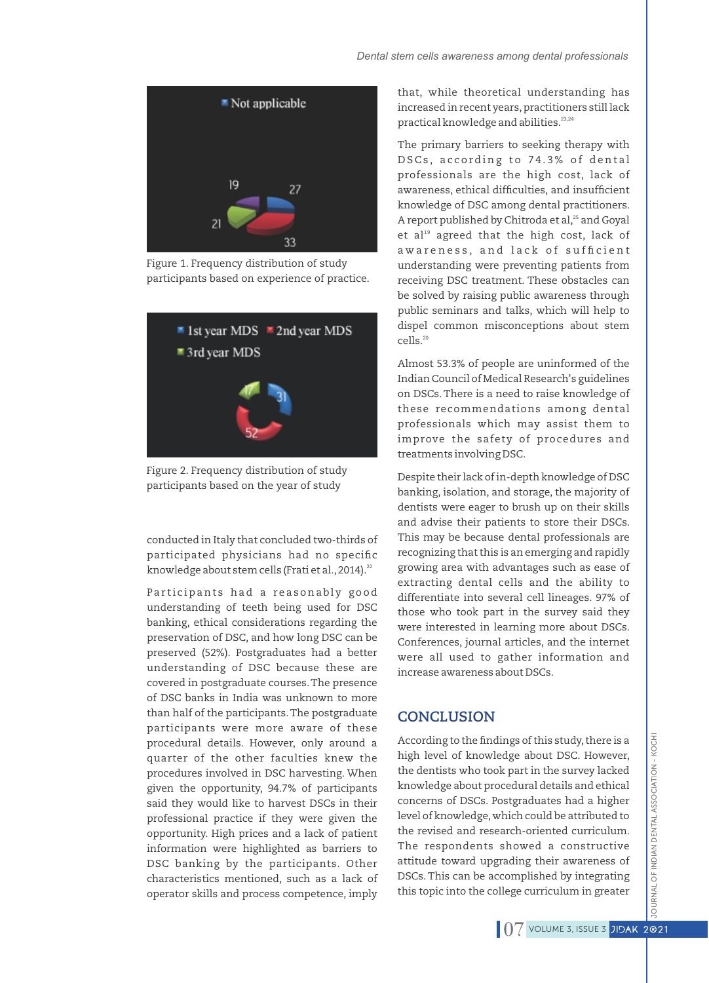

Figure 1. Frequency distribution of study participants based on experience of practice.



Figure 2. Frequency distribution of study participants based on the year of study

conducted in Italy that concluded two-thirds of participated physicians had no specific knowledge about stem cells (Frati et al., 2014).<sup>22</sup>

Participants had a reasonably good understanding of teeth being used for DSC banking, ethical considerations regarding the preservation of DSC, and how long DSC can be preserved (52%). Postgraduates had a better understanding of DSC because these are covered in postgraduate courses.The presence of DSC banks in India was unknown to more than half of the participants.The postgraduate participants were more aware of these procedural details. However, only around a quarter of the other faculties knew the procedures involved in DSC harvesting. When given the opportunity, 94.7% of participants said they would like to harvest DSCs in their professional practice if they were given the opportunity. High prices and a lack of patient information were highlighted as barriers to DSC banking by the participants. Other characteristics mentioned, such as a lack of operator skills and process competence, imply

that, while theoretical understanding has increased in recent years, practitioners still lack practical knowledge and abilities.<sup>23,24</sup>

The primary barriers to seeking therapy with DSCs, according to 74.3% of dental professionals are the high cost, lack of awareness, ethical difficulties, and insufficient knowledge of DSC among dental practitioners. A report published by Chitroda et al,<sup>25</sup> and Goyal et al $^{\text{19}}$  agreed that the high cost, lack of awareness, and lack of sufficient understanding were preventing patients from receiving DSC treatment. These obstacles can be solved by raising public awareness through public seminars and talks, which will help to dispel common misconceptions about stem cells.<sup>20</sup> Dental stem cells awareness among dental professionals<br>
that, while theoretical understanding has<br>
increased in recent yers, practical professionals<br>
practical knowledge and abilities.<sup>73</sup><br>
The primary barriers to seeking

Almost 53.3% of people are uninformed of the Indian Council of Medical Research's guidelines on DSCs. There is a need to raise knowledge of these recommendations among dental professionals which may assist them to improve the safety of procedures and treatments involving DSC.

Despite their lack of in-depth knowledge of DSC banking, isolation, and storage, the majority of dentists were eager to brush up on their skills and advise their patients to store their DSCs. This may be because dental professionals are recognizing that this is an emerging and rapidly growing area with advantages such as ease of extracting dental cells and the ability to differentiate into several cell lineages. 97% of those who took part in the survey said they were interested in learning more about DSCs. Conferences, journal articles, and the internet were all used to gather information and increase awareness about DSCs.

# **CONCLUSION**

According to the findings of this study, there is a high level of knowledge about DSC. However, the dentists who took part in the survey lacked knowledge about procedural details and ethical concerns of DSCs. Postgraduates had a higher level of knowledge,which could be attributed to the revised and research-oriented curriculum. The respondents showed a constructive attitude toward upgrading their awareness of DSCs. This can be accomplished by integrating this topic into the college curriculum in greater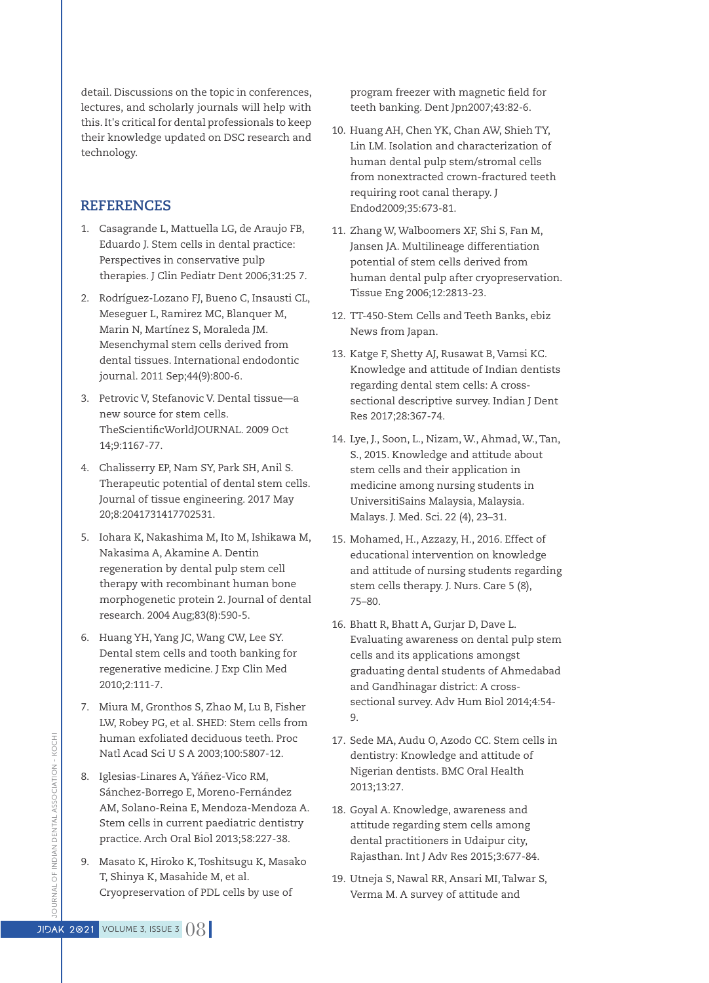detail. Discussions on the topic in conferences, lectures, and scholarly journals will help with this.It's critical for dental professionals to keep their knowledge updated on DSC research and technology.

## **REFERENCES**

- 1. Casagrande L, Mattuella LG, de Araujo FB, Eduardo J. Stem cells in dental practice: Perspectives in conservative pulp therapies. J Clin Pediatr Dent 2006;31:25 7.
- 2. Rodríguez‐Lozano FJ, Bueno C, Insausti CL, Meseguer L, Ramirez MC, Blanquer M, Marin N, Martínez S, Moraleda JM. Mesenchymal stem cells derived from dental tissues. International endodontic journal. 2011 Sep;44(9):800-6.
- 3. Petrovic V, Stefanovic V. Dental tissue—a new source for stem cells. TheScientificWorldJOURNAL. 2009 Oct 14;9:1167-77.
- 4. Chalisserry EP, Nam SY, Park SH, Anil S. Therapeutic potential of dental stem cells. Journal of tissue engineering. 2017 May 20;8:2041731417702531.
- 5. Iohara K, Nakashima M, Ito M, Ishikawa M, Nakasima A, Akamine A. Dentin regeneration by dental pulp stem cell therapy with recombinant human bone morphogenetic protein 2. Journal of dental research. 2004 Aug;83(8):590-5.
- 6. Huang YH, Yang JC, Wang CW, Lee SY. Dental stem cells and tooth banking for regenerative medicine. J Exp Clin Med 2010;2:111-7.
- 7. Miura M, Gronthos S, Zhao M, Lu B, Fisher LW, Robey PG, et al. SHED: Stem cells from human exfoliated deciduous teeth. Proc Natl Acad Sci U S A 2003;100:5807-12.
- 8. Iglesias-Linares A, Yáñez-Vico RM, Sánchez-Borrego E, Moreno-Fernández AM, Solano-Reina E, Mendoza-Mendoza A. Stem cells in current paediatric dentistry practice. Arch Oral Biol 2013;58:227-38.
- 9. Masato K, Hiroko K,Toshitsugu K, Masako T, Shinya K, Masahide M, et al. Cryopreservation of PDL cells by use of

program freezer with magnetic field for teeth banking. Dent Jpn2007;43:82-6.

- 10. Huang AH, Chen YK, Chan AW, Shieh TY, Lin LM. Isolation and characterization of human dental pulp stem/stromal cells from nonextracted crown-fractured teeth requiring root canal therapy. J Endod2009;35:673-81.
- 11. Zhang W, Walboomers XF, Shi S, Fan M, Jansen JA. Multilineage differentiation potential of stem cells derived from human dental pulp after cryopreservation. Tissue Eng 2006;12:2813-23.
- 12. TT-450-Stem Cells and Teeth Banks, ebiz News from Japan.
- 13. Katge F, Shetty AJ, Rusawat B, Vamsi KC. Knowledge and attitude of Indian dentists regarding dental stem cells: A crosssectional descriptive survey. Indian J Dent Res 2017;28:367-74.
- 14. Lye, J., Soon, L., Nizam, W., Ahmad, W.,Tan, S., 2015. Knowledge and attitude about stem cells and their application in medicine among nursing students in UniversitiSains Malaysia, Malaysia. Malays. J. Med. Sci. 22 (4), 23–31.
- 15. Mohamed, H., Azzazy, H., 2016. Effect of educational intervention on knowledge and attitude of nursing students regarding stem cells therapy. J. Nurs. Care 5 (8), 75–80.
- 16. Bhatt R, Bhatt A, Gurjar D, Dave L. Evaluating awareness on dental pulp stem cells and its applications amongst graduating dental students of Ahmedabad and Gandhinagar district: A crosssectional survey. Adv Hum Biol 2014;4:54- 9.
- 17. Sede MA, Audu O, Azodo CC. Stem cells in dentistry: Knowledge and attitude of Nigerian dentists. BMC Oral Health 2013;13:27.
- 18. Goyal A. Knowledge, awareness and attitude regarding stem cells among dental practitioners in Udaipur city, Rajasthan. Int J Adv Res 2015;3:677-84.
- 19. Utneja S, Nawal RR, Ansari MI,Talwar S, Verma M. A survey of attitude and